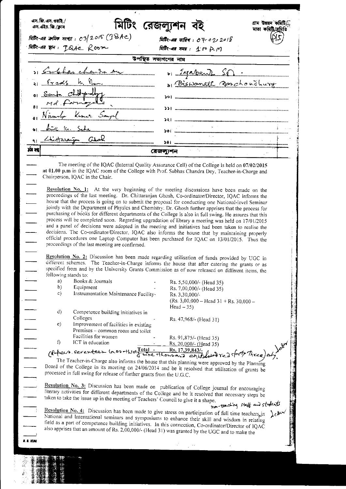|                                               |                                  |                                                                                                                                                                                                                                                                                                                                                                                                                                  | মিটিং-এর জৈমিক সংখ্যা : ০3/2015 $(\mathfrak{P}\text{BAc})$ |                      | মিটিং-এর তারিখ: <i>০৭-০</i> 2 <i>, 2015</i>                                                              |  |  |
|-----------------------------------------------|----------------------------------|----------------------------------------------------------------------------------------------------------------------------------------------------------------------------------------------------------------------------------------------------------------------------------------------------------------------------------------------------------------------------------------------------------------------------------|------------------------------------------------------------|----------------------|----------------------------------------------------------------------------------------------------------|--|--|
|                                               |                                  | ABR-08 TH: ISAE Room                                                                                                                                                                                                                                                                                                                                                                                                             |                                                            |                      | मिहित-बन्न मम्म : 1:00 p.m                                                                               |  |  |
|                                               |                                  |                                                                                                                                                                                                                                                                                                                                                                                                                                  |                                                            | উপস্থিত সভ্যগণের নাম |                                                                                                          |  |  |
|                                               |                                  | Si Englande da su                                                                                                                                                                                                                                                                                                                                                                                                                |                                                            |                      | 61 Ignachen Som                                                                                          |  |  |
|                                               |                                  | 1 <u>Fredship Communication</u>                                                                                                                                                                                                                                                                                                                                                                                                  |                                                            |                      | a Biswanath Baschoudhurg                                                                                 |  |  |
|                                               |                                  | sub children                                                                                                                                                                                                                                                                                                                                                                                                                     |                                                            |                      |                                                                                                          |  |  |
|                                               |                                  |                                                                                                                                                                                                                                                                                                                                                                                                                                  |                                                            |                      |                                                                                                          |  |  |
|                                               |                                  | Nimmle Kumer Sangel                                                                                                                                                                                                                                                                                                                                                                                                              |                                                            |                      |                                                                                                          |  |  |
|                                               |                                  |                                                                                                                                                                                                                                                                                                                                                                                                                                  |                                                            |                      |                                                                                                          |  |  |
|                                               | Au K. Sche                       |                                                                                                                                                                                                                                                                                                                                                                                                                                  |                                                            |                      |                                                                                                          |  |  |
|                                               |                                  | 91 Lhistorian Chal                                                                                                                                                                                                                                                                                                                                                                                                               |                                                            |                      | $381$                                                                                                    |  |  |
| मंत्र रह                                      |                                  |                                                                                                                                                                                                                                                                                                                                                                                                                                  |                                                            | রেজল্যুশন            |                                                                                                          |  |  |
| $\overline{\phantom{a}}$                      |                                  | at 01.00 p.m in the IQAC room of the College with Prof. Subhas Chandra Dey, Teacher-in-Charge and<br>Chairperson, IQAC in the Chair.<br><b>Resolution No. 1:</b> At the very beginning of the meeting discussions have been made on the<br>proceedings of the last meeting. Dr. Chittaranjan Ghosh, Co-ordinator/Director, IQAC informs the                                                                                      |                                                            |                      |                                                                                                          |  |  |
|                                               |                                  | house that the process is going on to submit the proposal for conducting one National-level Seminar<br>jointly with the Department of Physics and Chemistry. Dr. Ghosh further apprises that the process for                                                                                                                                                                                                                     |                                                            |                      |                                                                                                          |  |  |
| $\equiv$                                      |                                  | process will be completed soon. Regarding upgradation of library a meeting was held on 17/01/2015<br>and a panel of decisions were adopted in the meeting and initiatives had been taken to realise the<br>decisions. The Co-ordinator/Director, IQAC also informs the house that by maintaining properly<br>official procedures one Laptop Computer has been purchased for IQAC on 13/01/2015. Thus the                         |                                                            |                      | purchasing of books for different departments of the College is also in full swing. He assures that this |  |  |
|                                               | following stands to:<br>a)<br>b) | proceedings of the last meeting are confirmed.<br>Resolution No. 2: Discussion has been made regarding utilisation of funds provided by UGC in<br>different schemes. The Teacher-in-Charge informs the house that after catering the grants or as<br>specified from and by the University Grants Commission as of now released on different items, the<br>Books & Journals<br>Equipment                                          |                                                            |                      | Rs. 5,50,000/- (Head 35)                                                                                 |  |  |
|                                               | C)                               | Instrumentation Maintenance Facility-                                                                                                                                                                                                                                                                                                                                                                                            |                                                            |                      | Rs. 7,00,000/- (Head 35)<br>Rs. 3,30,000/-<br>(Rs. 3,00,000 – Head $31 +$ Rs. 30,000 –<br>Head $-35$ )   |  |  |
|                                               | $\rm d$                          | Competence building initiatives in<br>Colleges                                                                                                                                                                                                                                                                                                                                                                                   |                                                            |                      |                                                                                                          |  |  |
|                                               | $\bf e)$                         | Improvement of facilities in existing                                                                                                                                                                                                                                                                                                                                                                                            |                                                            |                      | Rs. 47,968/- (Head 31)                                                                                   |  |  |
|                                               |                                  | Premises - common room and toilet<br>Facilities for women                                                                                                                                                                                                                                                                                                                                                                        |                                                            |                      | Rs. 91,875/- (Head 35)                                                                                   |  |  |
|                                               | f)                               | ICT in education                                                                                                                                                                                                                                                                                                                                                                                                                 |                                                            |                      | Rs. 20,000/- (Head 35)                                                                                   |  |  |
|                                               |                                  | (Pubeco. serenteen la es-thirt Total - Rs. 17,39,843/-<br>The Teacher-in-Charge also informs the house that this is a ceptible individual red forty Three) only.                                                                                                                                                                                                                                                                 |                                                            |                      |                                                                                                          |  |  |
|                                               |                                  | The Teacher-in-Charge also informs the house that this planning were approved by the Planning<br>Board of the College in its meeting on 24/06/2014 and be it resolved that utilisation of grants be                                                                                                                                                                                                                              |                                                            |                      |                                                                                                          |  |  |
|                                               |                                  | processed in full swing for release of further grants from the U.G.C.                                                                                                                                                                                                                                                                                                                                                            |                                                            |                      |                                                                                                          |  |  |
|                                               |                                  | Resolution No. 3: Discussion has been made on publication of College journal for encouraging<br>literary activities for different departments of the College and be it resolved that necessary steps be<br>taken to take the issue up in the meeting of Teachers' Council to give it a shape.                                                                                                                                    |                                                            |                      |                                                                                                          |  |  |
| $\frac{1}{\sqrt{1-\frac{1}{2}}}$<br>l B. Klan |                                  | Resolution No. 4: Discussion has been made to give stress on participation of full time teachers, in $\lambda c$<br>National and International seminars and symposiums to enhance their skill and wisdom in relating<br>field as a part of competence building initiatives. In this connection, Co-ordinator/Director of IQAC<br>also apprises that an amount of Rs. 2,00,000/- (Head 31) was granted by the UGC and to make the |                                                            |                      |                                                                                                          |  |  |

 $\begin{array}{l} \mathbb{R} \\ \mathbb{R} \\ \mathbb{R} \end{array}$ 

 $\ddot{\phantom{0}}$